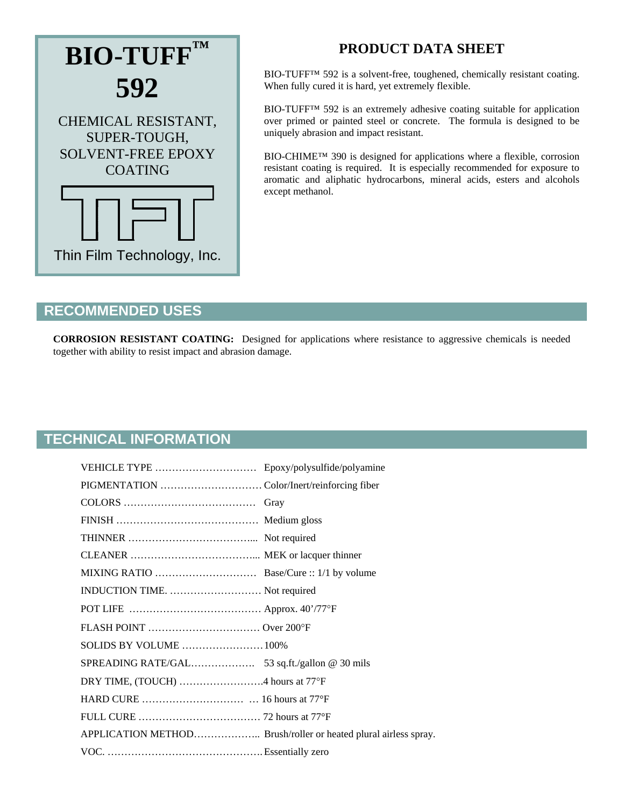

# **PRODUCT DATA SHEET**

BIO-TUFF™ 592 is a solvent-free, toughened, chemically resistant coating. When fully cured it is hard, yet extremely flexible.

BIO-TUFF™ 592 is an extremely adhesive coating suitable for application over primed or painted steel or concrete. The formula is designed to be uniquely abrasion and impact resistant.

BIO-CHIME™ 390 is designed for applications where a flexible, corrosion resistant coating is required. It is especially recommended for exposure to aromatic and aliphatic hydrocarbons, mineral acids, esters and alcohols except methanol.

### **RECOMMENDED USES**

**CORROSION RESISTANT COATING:** Designed for applications where resistance to aggressive chemicals is needed together with ability to resist impact and abrasion damage.

### **TECHNICAL INFORMATION**

| INDUCTION TIME.  Not required                                   |  |
|-----------------------------------------------------------------|--|
|                                                                 |  |
|                                                                 |  |
|                                                                 |  |
|                                                                 |  |
|                                                                 |  |
|                                                                 |  |
|                                                                 |  |
| APPLICATION METHOD Brush/roller or heated plural airless spray. |  |
|                                                                 |  |
|                                                                 |  |